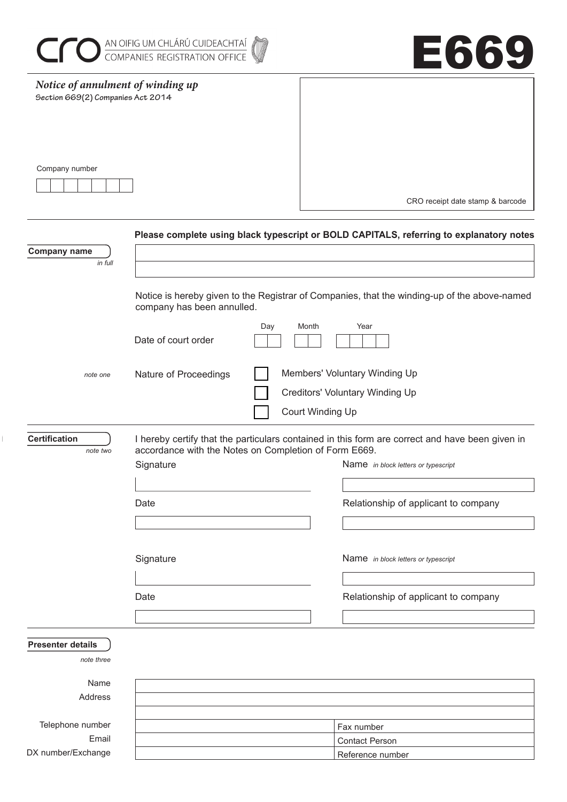

 $\overline{\mathbb{L}}$ 



| Notice of annulment of winding up |                                                       |     |                                                                                                 |
|-----------------------------------|-------------------------------------------------------|-----|-------------------------------------------------------------------------------------------------|
| Section 669(2) Companies Act 2014 |                                                       |     |                                                                                                 |
|                                   |                                                       |     |                                                                                                 |
|                                   |                                                       |     |                                                                                                 |
|                                   |                                                       |     |                                                                                                 |
|                                   |                                                       |     |                                                                                                 |
| Company number                    |                                                       |     |                                                                                                 |
|                                   |                                                       |     |                                                                                                 |
|                                   |                                                       |     |                                                                                                 |
|                                   |                                                       |     | CRO receipt date stamp & barcode                                                                |
|                                   |                                                       |     |                                                                                                 |
|                                   |                                                       |     | Please complete using black typescript or BOLD CAPITALS, referring to explanatory notes         |
| <b>Company name</b>               |                                                       |     |                                                                                                 |
| in full                           |                                                       |     |                                                                                                 |
|                                   |                                                       |     |                                                                                                 |
|                                   |                                                       |     | Notice is hereby given to the Registrar of Companies, that the winding-up of the above-named    |
|                                   | company has been annulled.                            |     |                                                                                                 |
|                                   |                                                       | Day | Month<br>Year                                                                                   |
|                                   | Date of court order                                   |     |                                                                                                 |
|                                   |                                                       |     |                                                                                                 |
|                                   |                                                       |     |                                                                                                 |
| note one                          | Nature of Proceedings                                 |     | Members' Voluntary Winding Up                                                                   |
|                                   |                                                       |     | Creditors' Voluntary Winding Up                                                                 |
|                                   |                                                       |     |                                                                                                 |
|                                   |                                                       |     | Court Winding Up                                                                                |
| <b>Certification</b>              |                                                       |     |                                                                                                 |
| note two                          | accordance with the Notes on Completion of Form E669. |     | I hereby certify that the particulars contained in this form are correct and have been given in |
|                                   | Signature                                             |     | Name in block letters or typescript                                                             |
|                                   |                                                       |     |                                                                                                 |
|                                   |                                                       |     |                                                                                                 |
|                                   | Date                                                  |     | Relationship of applicant to company                                                            |
|                                   |                                                       |     |                                                                                                 |
|                                   |                                                       |     |                                                                                                 |
|                                   |                                                       |     |                                                                                                 |
|                                   | Signature                                             |     | Name in block letters or typescript                                                             |
|                                   |                                                       |     |                                                                                                 |
|                                   |                                                       |     |                                                                                                 |
|                                   | Date                                                  |     | Relationship of applicant to company                                                            |
|                                   |                                                       |     |                                                                                                 |
|                                   |                                                       |     |                                                                                                 |
| <b>Presenter details</b>          |                                                       |     |                                                                                                 |
| note three                        |                                                       |     |                                                                                                 |
|                                   |                                                       |     |                                                                                                 |
| Name                              |                                                       |     |                                                                                                 |
| Address                           |                                                       |     |                                                                                                 |
|                                   |                                                       |     |                                                                                                 |
| Telephone number                  |                                                       |     | Fax number                                                                                      |
| Email                             |                                                       |     | <b>Contact Person</b>                                                                           |
| DX number/Exchange                |                                                       |     | Reference number                                                                                |

Reference number